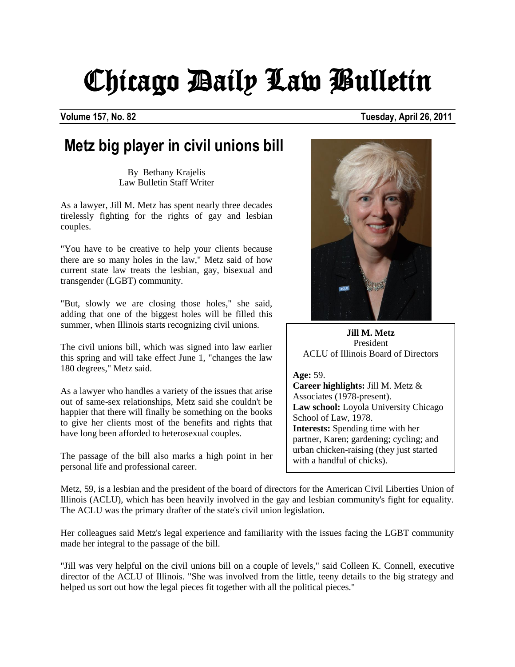## Chicago Daily Law Bulletin

**Volume 157, No. 82 Tuesday, April 26, 2011**

## **Metz big player in civil unions bill**

By Bethany Krajelis Law Bulletin Staff Writer

As a lawyer, Jill M. Metz has spent nearly three decades tirelessly fighting for the rights of gay and lesbian couples.

"You have to be creative to help your clients because there are so many holes in the law," Metz said of how current state law treats the lesbian, gay, bisexual and transgender (LGBT) community.

"But, slowly we are closing those holes," she said, adding that one of the biggest holes will be filled this summer, when Illinois starts recognizing civil unions.

The civil unions bill, which was signed into law earlier this spring and will take effect June 1, "changes the law 180 degrees," Metz said.

As a lawyer who handles a variety of the issues that arise out of same-sex relationships, Metz said she couldn't be happier that there will finally be something on the books to give her clients most of the benefits and rights that have long been afforded to heterosexual couples.

The passage of the bill also marks a high point in her personal life and professional career.



**Jill M. Metz** President ACLU of Illinois Board of Directors

**Age:** 59.

**Career highlights:** Jill M. Metz & Associates (1978-present). **Law school:** Loyola University Chicago School of Law, 1978. **Interests:** Spending time with her partner, Karen; gardening; cycling; and urban chicken-raising (they just started with a handful of chicks).

Metz, 59, is a lesbian and the president of the board of directors for the American Civil Liberties Union of Illinois (ACLU), which has been heavily involved in the gay and lesbian community's fight for equality. The ACLU was the primary drafter of the state's civil union legislation.

Her colleagues said Metz's legal experience and familiarity with the issues facing the LGBT community made her integral to the passage of the bill.

"Jill was very helpful on the civil unions bill on a couple of levels," said Colleen K. Connell, executive director of the ACLU of Illinois. "She was involved from the little, teeny details to the big strategy and helped us sort out how the legal pieces fit together with all the political pieces."